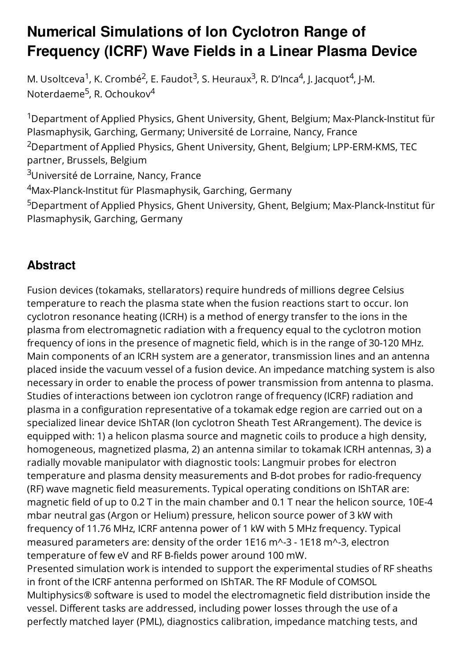## **Numerical Simulations of Ion Cyclotron Range of Frequency (ICRF) Wave Fields in a Linear Plasma Device**

M. Usoltceva<sup>1</sup>, K. Crombé<sup>2</sup>, E. Faudot<sup>3</sup>, S. Heuraux<sup>3</sup>, R. D'Inca<sup>4</sup>, J. Jacquot<sup>4</sup>, J-M. Noterdaeme<sup>5</sup>, R. Ochoukov<sup>4</sup>

<sup>1</sup>Department of Applied Physics, Ghent University, Ghent, Belgium; Max-Planck-Institut für Plasmaphysik, Garching, Germany; Université de Lorraine, Nancy, France <sup>2</sup>Department of Applied Physics, Ghent University, Ghent, Belgium; LPP-ERM-KMS, TEC partner, Brussels, Belgium <sup>3</sup>Université de Lorraine, Nancy, France <sup>4</sup>Max-Planck-Institut für Plasmaphysik, Garching, Germany

<sup>5</sup>Department of Applied Physics, Ghent University, Ghent, Belgium; Max-Planck-Institut für Plasmaphysik, Garching, Germany

## **Abstract**

Fusion devices (tokamaks, stellarators) require hundreds of millions degree Celsius temperature to reach the plasma state when the fusion reactions start to occur. Ion cyclotron resonance heating (ICRH) is a method of energy transfer to the ions in the plasma from electromagnetic radiation with a frequency equal to the cyclotron motion frequency of ions in the presence of magnetic field, which is in the range of 30-120 MHz. Main components of an ICRH system are a generator, transmission lines and an antenna placed inside the vacuum vessel of a fusion device. An impedance matching system is also necessary in order to enable the process of power transmission from antenna to plasma. Studies of interactions between ion cyclotron range of frequency (ICRF) radiation and plasma in a configuration representative of a tokamak edge region are carried out on a specialized linear device IShTAR (Ion cyclotron Sheath Test ARrangement). The device is equipped with: 1) a helicon plasma source and magnetic coils to produce a high density, homogeneous, magnetized plasma, 2) an antenna similar to tokamak ICRH antennas, 3) a radially movable manipulator with diagnostic tools: Langmuir probes for electron temperature and plasma density measurements and B-dot probes for radio-frequency (RF) wave magnetic field measurements. Typical operating conditions on IShTAR are: magnetic field of up to 0.2 T in the main chamber and 0.1 T near the helicon source, 10E-4 mbar neutral gas (Argon or Helium) pressure, helicon source power of 3 kW with frequency of 11.76 MHz, ICRF antenna power of 1 kW with 5 MHz frequency. Typical measured parameters are: density of the order 1E16 m^-3 - 1E18 m^-3, electron temperature of few eV and RF B-fields power around 100 mW. Presented simulation work is intended to support the experimental studies of RF sheaths in front of the ICRF antenna performed on IShTAR. The RF Module of COMSOL Multiphysics® software is used to model the electromagnetic field distribution inside the vessel. Different tasks are addressed, including power losses through the use of a perfectly matched layer (PML), diagnostics calibration, impedance matching tests, and